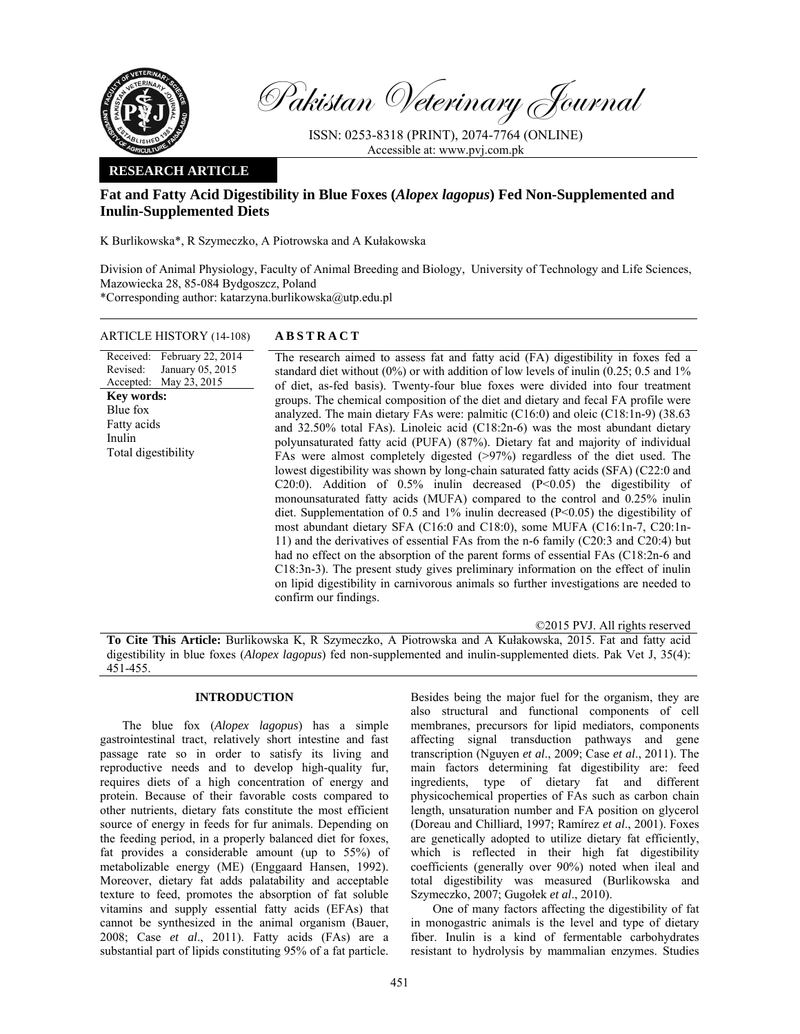

Pakistan Veterinary Journal

ISSN: 0253-8318 (PRINT), 2074-7764 (ONLINE) Accessible at: www.pvj.com.pk

# **RESEARCH ARTICLE**

# **Fat and Fatty Acid Digestibility in Blue Foxes (***Alopex lagopus***) Fed Non-Supplemented and Inulin-Supplemented Diets**

K Burlikowska\*, R Szymeczko, A Piotrowska and A Kułakowska

Division of Animal Physiology, Faculty of Animal Breeding and Biology, University of Technology and Life Sciences, Mazowiecka 28, 85-084 Bydgoszcz, Poland

\*Corresponding author: katarzyna.burlikowska@utp.edu.pl

## ARTICLE HISTORY (14-108) **ABSTRACT**

Received: February 22, 2014 Revised: Accepted: May 23, 2015 January 05, 2015 **Key words:**  Blue fox Fatty acids Inulin Total digestibility

 The research aimed to assess fat and fatty acid (FA) digestibility in foxes fed a standard diet without  $(0\%)$  or with addition of low levels of inulin  $(0.25; 0.5$  and  $1\%$ of diet, as-fed basis). Twenty-four blue foxes were divided into four treatment groups. The chemical composition of the diet and dietary and fecal FA profile were analyzed. The main dietary FAs were: palmitic (C16:0) and oleic (C18:1n-9) (38.63 and 32.50% total FAs). Linoleic acid (C18:2n-6) was the most abundant dietary polyunsaturated fatty acid (PUFA) (87%). Dietary fat and majority of individual FAs were almost completely digested (>97%) regardless of the diet used. The lowest digestibility was shown by long-chain saturated fatty acids (SFA) (C22:0 and C20:0). Addition of 0.5% inulin decreased (P<0.05) the digestibility of monounsaturated fatty acids (MUFA) compared to the control and 0.25% inulin diet. Supplementation of 0.5 and 1% inulin decreased (P<0.05) the digestibility of most abundant dietary SFA (C16:0 and C18:0), some MUFA (C16:1n-7, C20:1n-11) and the derivatives of essential FAs from the n-6 family (C20:3 and C20:4) but had no effect on the absorption of the parent forms of essential FAs (C18:2n-6 and C18:3n-3). The present study gives preliminary information on the effect of inulin on lipid digestibility in carnivorous animals so further investigations are needed to confirm our findings.

©2015 PVJ. All rights reserved

**To Cite This Article:** Burlikowska K, R Szymeczko, A Piotrowska and A Kułakowska, 2015. Fat and fatty acid digestibility in blue foxes (*Alopex lagopus*) fed non-supplemented and inulin-supplemented diets. Pak Vet J, 35(4): 451-455.

# **INTRODUCTION**

The blue fox (*Alopex lagopus*) has a simple gastrointestinal tract, relatively short intestine and fast passage rate so in order to satisfy its living and reproductive needs and to develop high-quality fur, requires diets of a high concentration of energy and protein. Because of their favorable costs compared to other nutrients, dietary fats constitute the most efficient source of energy in feeds for fur animals. Depending on the feeding period, in a properly balanced diet for foxes, fat provides a considerable amount (up to 55%) of metabolizable energy (ME) (Enggaard Hansen, 1992). Moreover, dietary fat adds palatability and acceptable texture to feed, promotes the absorption of fat soluble vitamins and supply essential fatty acids (EFAs) that cannot be synthesized in the animal organism (Bauer, 2008; Case *et al*., 2011). Fatty acids (FAs) are a substantial part of lipids constituting 95% of a fat particle.

Besides being the major fuel for the organism, they are also structural and functional components of cell membranes, precursors for lipid mediators, components affecting signal transduction pathways and gene transcription (Nguyen *et al*., 2009; Case *et al*., 2011). The main factors determining fat digestibility are: feed ingredients, type of dietary fat and different physicochemical properties of FAs such as carbon chain length, unsaturation number and FA position on glycerol (Doreau and Chilliard, 1997; Ramírez *et al*., 2001). Foxes are genetically adopted to utilize dietary fat efficiently, which is reflected in their high fat digestibility coefficients (generally over 90%) noted when ileal and total digestibility was measured (Burlikowska and Szymeczko, 2007; Gugołek *et al*., 2010).

One of many factors affecting the digestibility of fat in monogastric animals is the level and type of dietary fiber. Inulin is a kind of fermentable carbohydrates resistant to hydrolysis by mammalian enzymes. Studies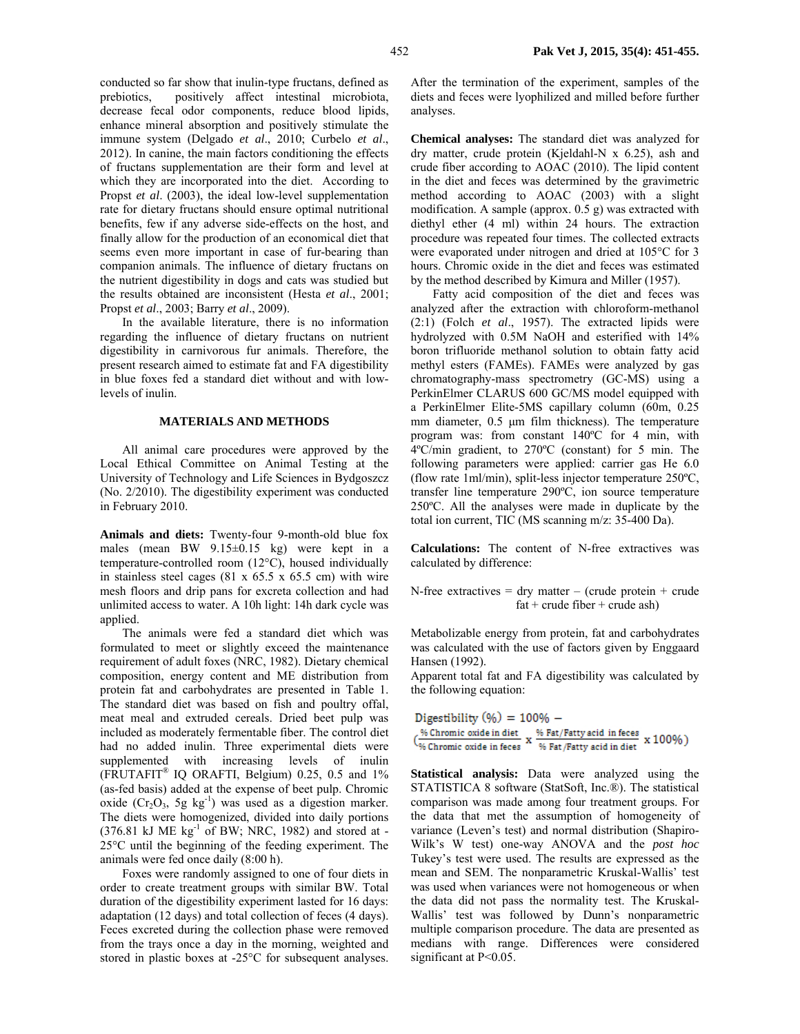conducted so far show that inulin-type fructans, defined as prebiotics, positively affect intestinal microbiota, decrease fecal odor components, reduce blood lipids, enhance mineral absorption and positively stimulate the immune system (Delgado *et al*., 2010; Curbelo *et al*., 2012). In canine, the main factors conditioning the effects of fructans supplementation are their form and level at which they are incorporated into the diet. According to Propst *et al*. (2003), the ideal low-level supplementation rate for dietary fructans should ensure optimal nutritional benefits, few if any adverse side-effects on the host, and finally allow for the production of an economical diet that seems even more important in case of fur-bearing than companion animals. The influence of dietary fructans on the nutrient digestibility in dogs and cats was studied but the results obtained are inconsistent (Hesta *et al*., 2001; Propst *et al*., 2003; Barry *et al*., 2009).

In the available literature, there is no information regarding the influence of dietary fructans on nutrient digestibility in carnivorous fur animals. Therefore, the present research aimed to estimate fat and FA digestibility in blue foxes fed a standard diet without and with lowlevels of inulin.

#### **MATERIALS AND METHODS**

All animal care procedures were approved by the Local Ethical Committee on Animal Testing at the University of Technology and Life Sciences in Bydgoszcz (No. 2/2010). The digestibility experiment was conducted in February 2010.

**Animals and diets:** Twenty-four 9-month-old blue fox males (mean BW 9.15±0.15 kg) were kept in a temperature-controlled room (12°C), housed individually in stainless steel cages  $(81 \times 65.5 \times 65.5 \text{ cm})$  with wire mesh floors and drip pans for excreta collection and had unlimited access to water. A 10h light: 14h dark cycle was applied.

The animals were fed a standard diet which was formulated to meet or slightly exceed the maintenance requirement of adult foxes (NRC, 1982). Dietary chemical composition, energy content and ME distribution from protein fat and carbohydrates are presented in Table 1. The standard diet was based on fish and poultry offal, meat meal and extruded cereals. Dried beet pulp was included as moderately fermentable fiber. The control diet had no added inulin. Three experimental diets were supplemented with increasing levels of inulin (FRUTAFIT® IQ ORAFTI, Belgium) 0.25, 0.5 and 1% (as-fed basis) added at the expense of beet pulp. Chromic oxide  $(Cr_2O_3, 5g kg^{-1})$  was used as a digestion marker. The diets were homogenized, divided into daily portions  $(376.81 \text{ kJ} \text{ ME kg}^{-1} \text{ of BW}; \text{ NRC}, 1982)$  and stored at -25°C until the beginning of the feeding experiment. The animals were fed once daily (8:00 h).

Foxes were randomly assigned to one of four diets in order to create treatment groups with similar BW. Total duration of the digestibility experiment lasted for 16 days: adaptation (12 days) and total collection of feces (4 days). Feces excreted during the collection phase were removed from the trays once a day in the morning, weighted and stored in plastic boxes at -25°C for subsequent analyses.

After the termination of the experiment, samples of the diets and feces were lyophilized and milled before further analyses.

**Chemical analyses:** The standard diet was analyzed for dry matter, crude protein (Kjeldahl-N x 6.25), ash and crude fiber according to AOAC (2010). The lipid content in the diet and feces was determined by the gravimetric method according to AOAC (2003) with a slight modification. A sample (approx. 0.5 g) was extracted with diethyl ether (4 ml) within 24 hours. The extraction procedure was repeated four times. The collected extracts were evaporated under nitrogen and dried at 105°C for 3 hours. Chromic oxide in the diet and feces was estimated by the method described by Kimura and Miller (1957).

Fatty acid composition of the diet and feces was analyzed after the extraction with chloroform-methanol (2:1) (Folch *et al*., 1957). The extracted lipids were hydrolyzed with 0.5M NaOH and esterified with 14% boron trifluoride methanol solution to obtain fatty acid methyl esters (FAMEs). FAMEs were analyzed by gas chromatography-mass spectrometry (GC-MS) using a PerkinElmer CLARUS 600 GC/MS model equipped with a PerkinElmer Elite-5MS capillary column (60m, 0.25 mm diameter, 0.5 µm film thickness). The temperature program was: from constant 140ºC for 4 min, with 4ºC/min gradient, to 270ºC (constant) for 5 min. The following parameters were applied: carrier gas He 6.0 (flow rate 1ml/min), split-less injector temperature 250ºC, transfer line temperature 290ºC, ion source temperature 250ºC. All the analyses were made in duplicate by the total ion current, TIC (MS scanning m/z: 35-400 Da).

**Calculations:** The content of N-free extractives was calculated by difference:

N-free extractives = dry matter – (crude protein + crude  $fat + crude fiber + crude ash)$ 

Metabolizable energy from protein, fat and carbohydrates was calculated with the use of factors given by Enggaard Hansen (1992).

Apparent total fat and FA digestibility was calculated by the following equation:

Digestibility  $(\%) = 100\% (\frac{\% \text{ Chromic oxide in diet}}{\% \text{ Chromic oxide in freeze}} \ge \frac{\% \text{ Fat/Fatty acid in faces}}{\% \text{ Fat/Fatty acid in diet}} \ge 100\%)$ 

**Statistical analysis:** Data were analyzed using the STATISTICA 8 software (StatSoft, Inc.®). The statistical comparison was made among four treatment groups. For the data that met the assumption of homogeneity of variance (Leven's test) and normal distribution (Shapiro-Wilk's W test) one-way ANOVA and the *post hoc* Tukey's test were used. The results are expressed as the mean and SEM. The nonparametric Kruskal-Wallis' test was used when variances were not homogeneous or when the data did not pass the normality test. The Kruskal-Wallis' test was followed by Dunn's nonparametric multiple comparison procedure. The data are presented as medians with range. Differences were considered significant at P<0.05.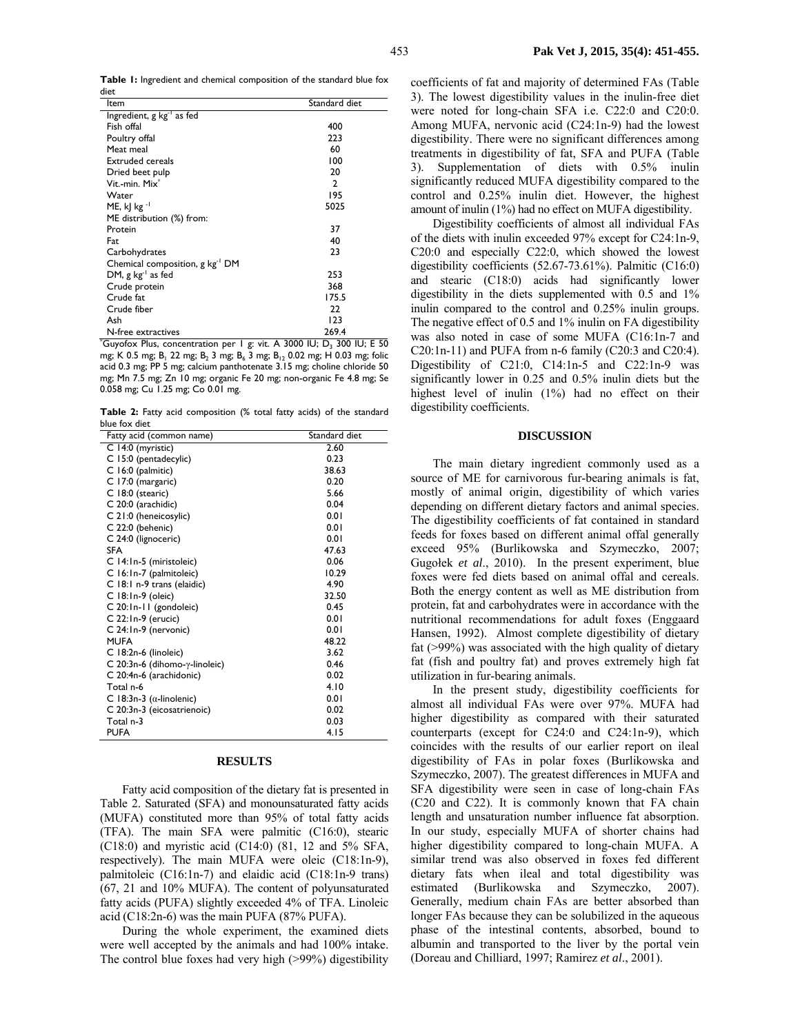**Table 1:** Ingredient and chemical composition of the standard blue fox diet

| ltem                                        | Standard diet  |  |  |
|---------------------------------------------|----------------|--|--|
| Ingredient, g kg <sup>-1</sup> as fed       |                |  |  |
| Fish offal                                  | 400            |  |  |
| Poultry offal                               | 223            |  |  |
| Meat meal                                   | 60             |  |  |
| <b>Extruded cereals</b>                     | 100            |  |  |
| Dried beet pulp                             | 20             |  |  |
| Vit.-min. Mix <sup>*</sup>                  | $\overline{2}$ |  |  |
| Water                                       | 195            |  |  |
| ME, k  $kg^{-1}$                            | 5025           |  |  |
| ME distribution (%) from:                   |                |  |  |
| Protein                                     | 37             |  |  |
| Fat                                         | 40             |  |  |
| Carbohydrates                               | 23             |  |  |
| Chemical composition, g kg <sup>-1</sup> DM |                |  |  |
| DM, g $kg^{-1}$ as fed                      | 253            |  |  |
| Crude protein                               | 368            |  |  |
| Crude fat                                   | 175.5          |  |  |
| Crude fiber                                 | 22             |  |  |
| Ash                                         | 123            |  |  |
| N-free extractives                          | 269.4          |  |  |

 $^*$ Guyofox Plus, concentration per 1 g: vit. A 3000 IU; D<sub>3</sub> 300 IU; E 50 mg; K 0.5 mg; B<sub>1</sub> 22 mg; B<sub>2</sub> 3 mg; B<sub>6</sub> 3 mg; B<sub>12</sub> 0.02 mg; H 0.03 mg; folic acid 0.3 mg; PP 5 mg; calcium panthotenate 3.15 mg; choline chloride 50 mg; Mn 7.5 mg; Zn 10 mg; organic Fe 20 mg; non-organic Fe 4.8 mg; Se 0.058 mg; Cu 1.25 mg; Co 0.01 mg.

**Table 2:** Fatty acid composition (% total fatty acids) of the standard blue fox diet

| Fatty acid (common name)         | Standard diet |  |  |
|----------------------------------|---------------|--|--|
| C 14:0 (myristic)                | 2.60          |  |  |
| C 15:0 (pentadecylic)            | 0.23          |  |  |
| C 16:0 (palmitic)                | 38.63         |  |  |
| C 17:0 (margaric)                | 0.20          |  |  |
| C 18:0 (stearic)                 | 5.66          |  |  |
| C 20:0 (arachidic)               | 0.04          |  |  |
| C 21:0 (heneicosylic)            | 0.01          |  |  |
| C 22:0 (behenic)                 | 0.01          |  |  |
| C 24:0 (lignoceric)              | 0.01          |  |  |
| SFA                              | 47.63         |  |  |
| C 14:1n-5 (miristoleic)          | 0.06          |  |  |
| C 16:1n-7 (palmitoleic)          | 10.29         |  |  |
| C 18:1 n-9 trans (elaidic)       | 4.90          |  |  |
| $C$ 18:1n-9 (oleic)              | 32.50         |  |  |
| C 20:1n-11 (gondoleic)           | 0.45          |  |  |
| C 22:1n-9 (erucic)               | 0.01          |  |  |
| C 24:1n-9 (nervonic)             | 0.01          |  |  |
| <b>MUFA</b>                      | 48.22         |  |  |
| C 18:2n-6 (linoleic)             | 3.62          |  |  |
| C 20:3n-6 (dihomo-γ-linoleic)    | 0.46          |  |  |
| C 20:4n-6 (arachidonic)          | 0.02          |  |  |
| Total n-6                        | 4.10          |  |  |
| C 18:3n-3 ( $\alpha$ -linolenic) | 0.01          |  |  |
| C 20:3n-3 (eicosatrienoic)       | 0.02          |  |  |
| Total n-3                        | 0.03          |  |  |
| <b>PUFA</b>                      | 4.IS          |  |  |

### **RESULTS**

Fatty acid composition of the dietary fat is presented in Table 2. Saturated (SFA) and monounsaturated fatty acids (MUFA) constituted more than 95% of total fatty acids (TFA). The main SFA were palmitic (C16:0), stearic (C18:0) and myristic acid (C14:0) (81, 12 and 5% SFA, respectively). The main MUFA were oleic (C18:1n-9), palmitoleic (C16:1n-7) and elaidic acid (C18:1n-9 trans) (67, 21 and 10% MUFA). The content of polyunsaturated fatty acids (PUFA) slightly exceeded 4% of TFA. Linoleic acid (C18:2n-6) was the main PUFA (87% PUFA).

During the whole experiment, the examined diets were well accepted by the animals and had 100% intake. The control blue foxes had very high (>99%) digestibility coefficients of fat and majority of determined FAs (Table 3). The lowest digestibility values in the inulin-free diet were noted for long-chain SFA i.e. C22:0 and C20:0. Among MUFA, nervonic acid (C24:1n-9) had the lowest digestibility. There were no significant differences among treatments in digestibility of fat, SFA and PUFA (Table 3). Supplementation of diets with 0.5% inulin significantly reduced MUFA digestibility compared to the control and 0.25% inulin diet. However, the highest amount of inulin (1%) had no effect on MUFA digestibility.

Digestibility coefficients of almost all individual FAs of the diets with inulin exceeded 97% except for C24:1n-9, C20:0 and especially C22:0, which showed the lowest digestibility coefficients (52.67-73.61%). Palmitic (C16:0) and stearic (C18:0) acids had significantly lower digestibility in the diets supplemented with 0.5 and 1% inulin compared to the control and 0.25% inulin groups. The negative effect of 0.5 and 1% inulin on FA digestibility was also noted in case of some MUFA (C16:1n-7 and C20:1n-11) and PUFA from n-6 family (C20:3 and C20:4). Digestibility of C21:0, C14:1n-5 and C22:1n-9 was significantly lower in 0.25 and 0.5% inulin diets but the highest level of inulin (1%) had no effect on their digestibility coefficients.

#### **DISCUSSION**

The main dietary ingredient commonly used as a source of ME for carnivorous fur-bearing animals is fat, mostly of animal origin, digestibility of which varies depending on different dietary factors and animal species. The digestibility coefficients of fat contained in standard feeds for foxes based on different animal offal generally exceed 95% (Burlikowska and Szymeczko, 2007; Gugołek *et al*., 2010). In the present experiment, blue foxes were fed diets based on animal offal and cereals. Both the energy content as well as ME distribution from protein, fat and carbohydrates were in accordance with the nutritional recommendations for adult foxes (Enggaard Hansen, 1992). Almost complete digestibility of dietary fat (>99%) was associated with the high quality of dietary fat (fish and poultry fat) and proves extremely high fat utilization in fur-bearing animals.

In the present study, digestibility coefficients for almost all individual FAs were over 97%. MUFA had higher digestibility as compared with their saturated counterparts (except for C24:0 and C24:1n-9), which coincides with the results of our earlier report on ileal digestibility of FAs in polar foxes (Burlikowska and Szymeczko, 2007). The greatest differences in MUFA and SFA digestibility were seen in case of long-chain FAs (C20 and C22). It is commonly known that FA chain length and unsaturation number influence fat absorption. In our study, especially MUFA of shorter chains had higher digestibility compared to long-chain MUFA. A similar trend was also observed in foxes fed different dietary fats when ileal and total digestibility was estimated (Burlikowska and Szymeczko, 2007). Generally, medium chain FAs are better absorbed than longer FAs because they can be solubilized in the aqueous phase of the intestinal contents, absorbed, bound to albumin and transported to the liver by the portal vein (Doreau and Chilliard, 1997; Ramirez *et al*., 2001).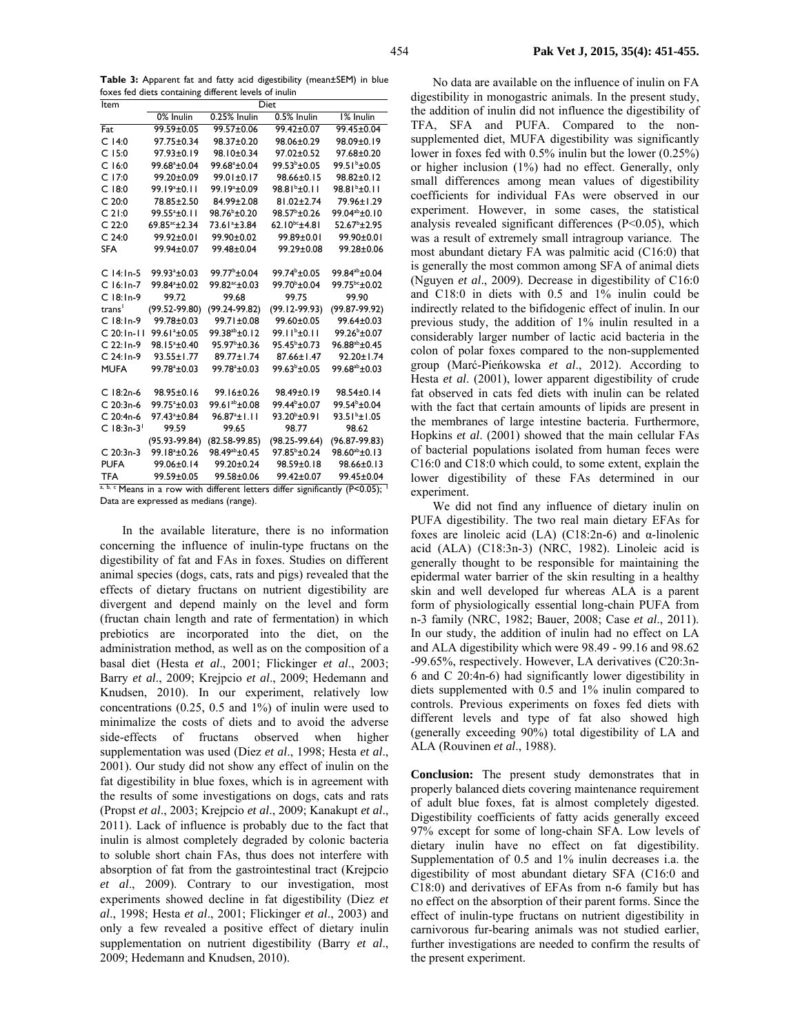| Item                     | Diet                      |                           |                          |                           |
|--------------------------|---------------------------|---------------------------|--------------------------|---------------------------|
|                          | 0% Inulin                 | 0.25% Inulin              | 0.5% Inulin              | 1% Inulin                 |
| Fat                      | 99.59±0.05                | 99.57±0.06                | $99.42 \pm 0.07$         | 99.45±0.04                |
| $C$ 14:0                 | 97.75±0.34                | 98.37±0.20                | 98.06±0.29               | 98.09±0.19                |
| $C$ 15:0                 | $97.93 + 0.19$            | 98.10±0.34                | $97.02 + 0.52$           | 97.68±0.20                |
| $C$ 16:0                 | 99.68 <sup>a</sup> ±0.04  | 99.68 <sup>a</sup> ±0.04  | $99.53^{b} \pm 0.05$     | 99.51 <sup>b</sup> ±0.05  |
| C17:0                    | 99.20±0.09                | $99.01 \pm 0.17$          | 98.66±0.15               | $98.82 \pm 0.12$          |
| $C$ 18:0                 | 99.19 <sup>a</sup> ±0.11  | 99.19 <sup>a</sup> ±0.09  | $98.81b \pm 0.11$        | $98.81b \pm 0.11$         |
| C.20:0                   | 78.85±2.50                | 84.99±2.08                | $81.02 \pm 2.74$         | 79.96±1.29                |
| C21:0                    | 99.55 <sup>a</sup> ±0.11  | 98.76 <sup>b</sup> ±0.20  | 98.57 <sup>b</sup> +0.26 | 99.04 <sup>ab</sup> ±0.10 |
| C 22:0                   | 69.85 <sup>ac</sup> ±2.34 | 73.61 <sup>a</sup> ±3.84  | $62.10^{bc}$ ±4.81       | 52.67 <sup>b</sup> ±2.95  |
| C <sub>24:0</sub>        | 99.92+0.01                | 99.90+0.02                | 99.89±0.01               | 99.90+0.01                |
| <b>SFA</b>               | 99.94±0.07                | 99.48±0.04                | 99.29±0.08               | 99.28±0.06                |
|                          |                           |                           |                          |                           |
| $C.14:1n-5$              | 99.93 <sup>a</sup> ±0.03  | $99.77^{\rm b}$ ±0.04     | $99.74^{\circ}$ ±0.05    | 99 84 <sup>ab</sup> +0.04 |
| $C$ 16:1n-7              | 99.84 <sup>a</sup> ±0.02  | 99.82 <sup>ac</sup> ±0.03 | 99.70 <sup>b</sup> ±0.04 | 99.75bc±0.02              |
| $C$ 18:1n-9              | 99.72                     | 99.68                     | 99.75                    | 99.90                     |
| trans <sup>1</sup>       | $(99.52 - 99.80)$         | $(99.24 - 99.82)$         | $(99.12 - 99.93)$        | $(99.87 - 99.92)$         |
| $C$ 18:1n-9              | 99.78±0.03                | 99.71±0.08                | 99.60±0.05               | 99.64±0.03                |
| $C$ 20: In-II            | 99.61 <sup>a</sup> ±0.05  | 99.38 <sup>ab</sup> ±0.12 | $99.11b \pm 0.11$        | 99.26 <sup>b</sup> ±0.07  |
| $C$ 22:1n-9              | 98.15 <sup>a</sup> ±0.40  | 95.97 <sup>b</sup> ±0.36  | $95.45^{\circ}$ ±0.73    | $96.88^{ab} \pm 0.45$     |
| $C$ 24:1n-9              | $93.55 \pm 1.77$          | $89.77 \pm 1.74$          | 87.66±1.47               | $92.20 \pm 1.74$          |
| <b>MUFA</b>              | 99.78 <sup>a</sup> ±0.03  | 99.78 <sup>a</sup> ±0.03  | 99.63 <sup>b</sup> ±0.05 | 99.68 <sup>ab</sup> ±0.03 |
|                          |                           |                           |                          |                           |
| $C$ 18:2n-6              | 98.95±0.16                | 99.16±0.26                | 98.49±0.19               | 98.54±0.14                |
| $C$ 20:3n-6              | 99.75 <sup>a</sup> ±0.03  | 99.61 <sup>ab</sup> ±0.08 | 99.44 <sup>b</sup> +0.07 | 99.54 <sup>b</sup> +0.04  |
| $C$ 20:4n-6              | 97.43 <sup>a</sup> ±0.84  | $96.87a + 1.11$           | 93.20 <sup>b</sup> ±0.91 | $93.51b \pm 1.05$         |
| $C$ 18:3n-3 <sup>1</sup> | 99.59                     | 99.65                     | 98.77                    | 98.62                     |
|                          | $(95.93 - 99.84)$         | $(82.58-99.85)$           | $(98.25 - 99.64)$        | $(96.87 - 99.83)$         |
| $C$ 20:3n-3              | 99.18 <sup>a</sup> ±0.26  | 98.49 <sup>ab</sup> ±0.45 | $97.85^{\rm b}$ ±0.24    | $98.60^{ab} \pm 0.13$     |
| <b>PUFA</b>              | 99.06±0.14                | 99.20±0.24                | 98.59±0.18               | 98.66±0.13                |
| <b>TFA</b>               | 99.59±0.05                | 99.58±0.06                | $99.42 \pm 0.07$         | 99.45±0.04                |

a, b, c Means in a row with different letters differ significantly (P<0.05); Data are expressed as medians (range).

In the available literature, there is no information concerning the influence of inulin-type fructans on the digestibility of fat and FAs in foxes. Studies on different animal species (dogs, cats, rats and pigs) revealed that the effects of dietary fructans on nutrient digestibility are divergent and depend mainly on the level and form (fructan chain length and rate of fermentation) in which prebiotics are incorporated into the diet, on the administration method, as well as on the composition of a basal diet (Hesta et al., 2001; Flickinger et al., 2003; Barry et al., 2009; Krejpcio et al., 2009; Hedemann and Knudsen, 2010). In our experiment, relatively low concentrations  $(0.25, 0.5, 0.1)$  and  $1\%)$  of inulin were used to minimalize the costs of diets and to avoid the adverse side-effects of fructans observed when higher supplementation was used (Diez et al., 1998; Hesta et al., 2001). Our study did not show any effect of inulin on the fat digestibility in blue foxes, which is in agreement with the results of some investigations on dogs, cats and rats (Propst et al., 2003; Krejpcio et al., 2009; Kanakupt et al., 2011). Lack of influence is probably due to the fact that inulin is almost completely degraded by colonic bacteria to soluble short chain FAs, thus does not interfere with absorption of fat from the gastrointestinal tract (Krejpcio et al., 2009). Contrary to our investigation, most experiments showed decline in fat digestibility (Diez et al., 1998; Hesta et al., 2001; Flickinger et al., 2003) and only a few revealed a positive effect of dietary inulin supplementation on nutrient digestibility (Barry et al., 2009; Hedemann and Knudsen, 2010).

No data are available on the influence of inulin on FA digestibility in monogastric animals. In the present study, the addition of inulin did not influence the digestibility of TFA, SFA and PUFA. Compared to the nonsupplemented diet, MUFA digestibility was significantly lower in foxes fed with  $0.5\%$  inulin but the lower  $(0.25\%)$ or higher inclusion  $(1\%)$  had no effect. Generally, only small differences among mean values of digestibility coefficients for individual FAs were observed in our experiment. However, in some cases, the statistical analysis revealed significant differences  $(P<0.05)$ , which was a result of extremely small intragroup variance. The most abundant dietary FA was palmitic acid (C16:0) that is generally the most common among SFA of animal diets (Nguyen et al., 2009). Decrease in digestibility of C16:0 and C18:0 in diets with 0.5 and 1% inulin could be indirectly related to the bifidogenic effect of inulin. In our previous study, the addition of 1% inulin resulted in a considerably larger number of lactic acid bacteria in the colon of polar foxes compared to the non-supplemented group (Marć-Pieńkowska et al., 2012). According to Hesta et al. (2001), lower apparent digestibility of crude fat observed in cats fed diets with inulin can be related with the fact that certain amounts of lipids are present in the membranes of large intestine bacteria. Furthermore, Hopkins et al. (2001) showed that the main cellular FAs of bacterial populations isolated from human feces were C16:0 and C18:0 which could, to some extent, explain the lower digestibility of these FAs determined in our experiment.

We did not find any influence of dietary inulin on PUFA digestibility. The two real main dietary EFAs for foxes are linoleic acid  $(LA)$  (C18:2n-6) and  $\alpha$ -linolenic acid (ALA) (C18:3n-3) (NRC, 1982). Linoleic acid is generally thought to be responsible for maintaining the epidermal water barrier of the skin resulting in a healthy skin and well developed fur whereas ALA is a parent form of physiologically essential long-chain PUFA from n-3 family (NRC, 1982; Bauer, 2008; Case et al., 2011). In our study, the addition of inulin had no effect on LA and ALA digestibility which were 98.49 - 99.16 and 98.62 -99.65%, respectively. However, LA derivatives (C20:3n-6 and C 20:4n-6) had significantly lower digestibility in diets supplemented with 0.5 and 1% inulin compared to controls. Previous experiments on foxes fed diets with different levels and type of fat also showed high (generally exceeding 90%) total digestibility of LA and ALA (Rouvinen et al., 1988).

Conclusion: The present study demonstrates that in properly balanced diets covering maintenance requirement of adult blue foxes, fat is almost completely digested. Digestibility coefficients of fatty acids generally exceed 97% except for some of long-chain SFA. Low levels of dietary inulin have no effect on fat digestibility. Supplementation of 0.5 and 1% inulin decreases i.a. the digestibility of most abundant dietary SFA (C16:0 and C18:0) and derivatives of EFAs from n-6 family but has no effect on the absorption of their parent forms. Since the effect of inulin-type fructans on nutrient digestibility in carnivorous fur-bearing animals was not studied earlier, further investigations are needed to confirm the results of the present experiment.